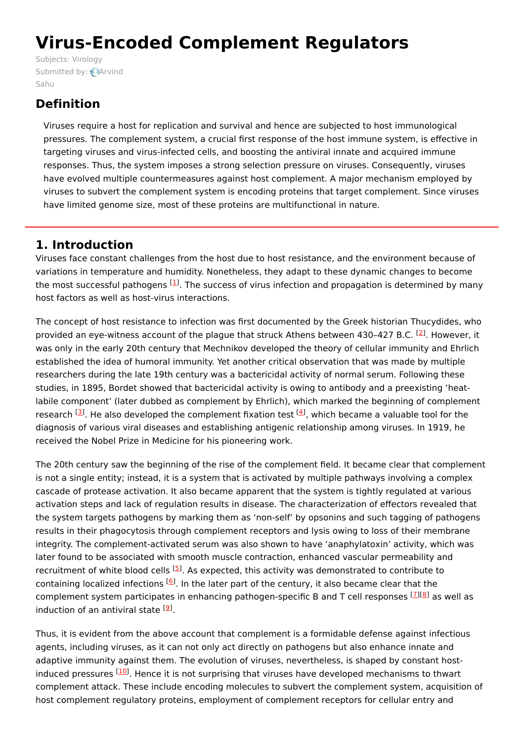# **Virus-Encoded Complement Regulators**

Subjects: [Virology](https://encyclopedia.pub/item/subject/60) [Submitted](https://sciprofiles.com/profile/1407703) by: **Arvind** Sahu

## **Definition**

Viruses require a host for replication and survival and hence are subjected to host immunological pressures. The complement system, a crucial first response of the host immune system, is effective in targeting viruses and virus-infected cells, and boosting the antiviral innate and acquired immune responses. Thus, the system imposes a strong selection pressure on viruses. Consequently, viruses have evolved multiple countermeasures against host complement. A major mechanism employed by viruses to subvert the complement system is encoding proteins that target complement. Since viruses have limited genome size, most of these proteins are multifunctional in nature.

### **1. Introduction**

Viruses face constant challenges from the host due to host resistance, and the environment because of variations in temperature and humidity. Nonetheless, they adapt to these dynamic changes to become the most successful pathogens  $[1]$  $[1]$  $[1]$ . The success of virus infection and propagation is determined by many host factors as well as host-virus interactions.

The concept of host resistance to infection was first documented by the Greek historian Thucydides, who provided an eye-witness account of the plague that struck Athens between 430-4[2](#page-5-1)7 B.C. <sup>[2]</sup>. However, it was only in the early 20th century that Mechnikov developed the theory of cellular immunity and Ehrlich established the idea of humoral immunity. Yet another critical observation that was made by multiple researchers during the late 19th century was a bactericidal activity of normal serum. Following these studies, in 1895, Bordet showed that bactericidal activity is owing to antibody and a preexisting 'heatlabile component' (later dubbed as complement by Ehrlich), which marked the beginning of complement research <sup>[\[3](#page-5-2)]</sup>. He also developed the complement fixation test <sup>[\[4](#page-5-3)]</sup>, which became a valuable tool for the diagnosis of various viral diseases and establishing antigenic relationship among viruses. In 1919, he received the Nobel Prize in Medicine for his pioneering work.

The 20th century saw the beginning of the rise of the complement field. It became clear that complement is not a single entity; instead, it is a system that is activated by multiple pathways involving a complex cascade of protease activation. It also became apparent that the system is tightly regulated at various activation steps and lack of regulation results in disease. The characterization of effectors revealed that the system targets pathogens by marking them as 'non-self' by opsonins and such tagging of pathogens results in their phagocytosis through complement receptors and lysis owing to loss of their membrane integrity. The complement-activated serum was also shown to have 'anaphylatoxin' activity, which was later found to be associated with smooth muscle contraction, enhanced vascular permeability and recruitment of white blood cells <sup>[[5](#page-5-4)]</sup>. As expected, this activity was demonstrated to contribute to containing localized infections <sup>[\[6](#page-5-5)]</sup>. In the later part of the century, it also became clear that the complement system participates in enhancing pathogen-specific B and T cell responses <a>[ZI</a>I& as well as induction of an antiviral state <sup>[<u>[9](#page-5-8)</u>]</sup>.

Thus, it is evident from the above account that complement is a formidable defense against infectious agents, including viruses, as it can not only act directly on pathogens but also enhance innate and adaptive immunity against them. The evolution of viruses, nevertheless, is shaped by constant host-induced pressures [\[10](#page-5-9)]. Hence it is not surprising that viruses have developed mechanisms to thwart complement attack. These include encoding molecules to subvert the complement system, acquisition of host complement regulatory proteins, employment of complement receptors for cellular entry and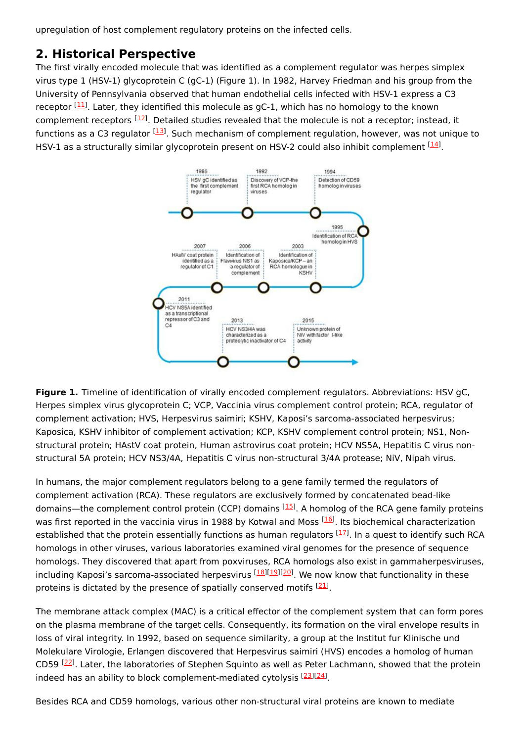upregulation of host complement regulatory proteins on the infected cells.

### **2. Historical Perspective**

The first virally encoded molecule that was identified as a complement regulator was herpes simplex virus type 1 (HSV-1) glycoprotein C (gC-1) (Figure 1). In 1982, Harvey Friedman and his group from the University of Pennsylvania observed that human endothelial cells infected with HSV-1 express a C3 receptor <sup>[\[11](#page-5-10)]</sup>. Later, they identified this molecule as gC-1, which has no homology to the known complement receptors <sup>[\[12](#page-5-11)]</sup>. Detailed studies revealed that the molecule is not a receptor; instead, it functions as a C3 regulator <sup>[\[13](#page-5-12)]</sup>. Such mechanism of complement regulation, however, was not unique to HSV-1 as a structurally similar glycoprotein present on HSV-2 could also inhibit complement  $^{[14]}$  $^{[14]}$  $^{[14]}$ .



**Figure 1.** Timeline of identification of virally encoded complement regulators. Abbreviations: HSV gC, Herpes simplex virus glycoprotein C; VCP, Vaccinia virus complement control protein; RCA, regulator of complement activation; HVS, Herpesvirus saimiri; KSHV, Kaposi's sarcoma-associated herpesvirus; Kaposica, KSHV inhibitor of complement activation; KCP, KSHV complement control protein; NS1, Nonstructural protein; HAstV coat protein, Human astrovirus coat protein; HCV NS5A, Hepatitis C virus nonstructural 5A protein; HCV NS3/4A, Hepatitis C virus non-structural 3/4A protease; NiV, Nipah virus.

In humans, the major complement regulators belong to a gene family termed the regulators of complement activation (RCA). These regulators are exclusively formed by concatenated bead-like domains—the complement control protein (CCP) domains <sup>[\[15](#page-6-1)]</sup>. A homolog of the RCA gene family proteins was first reported in the vaccinia virus in 1988 by Kotwal and Moss <sup>[[16](#page-6-2)]</sup>. Its biochemical characterization established that the protein essentially functions as human regulators <sup>[\[17](#page-6-3)]</sup>. In a quest to identify such RCA homologs in other viruses, various laboratories examined viral genomes for the presence of sequence homologs. They discovered that apart from poxviruses, RCA homologs also exist in gammaherpesviruses, including Kaposi's sarcoma-associated herpesvirus <sup>[\[18](#page-6-4)][\[19](#page-6-5)][\[20](#page-6-6)]</sup>. We now know that functionality in these proteins is dictated by the presence of spatially conserved motifs <sup>[[21](#page-6-7)]</sup>.

The membrane attack complex (MAC) is a critical effector of the complement system that can form pores on the plasma membrane of the target cells. Consequently, its formation on the viral envelope results in loss of viral integrity. In 1992, based on sequence similarity, a group at the Institut fur Klinische und Molekulare Virologie, Erlangen discovered that Herpesvirus saimiri (HVS) encodes a homolog of human CD59<sup>[[22\]](#page-6-8)</sup>. Later, the laboratories of Stephen Squinto as well as Peter Lachmann, showed that the protein indeed has an ability to block complement-mediated cytolysis <a>[\[23](#page-6-9)]</a>[\[24](#page-6-10)]</a>.

Besides RCA and CD59 homologs, various other non-structural viral proteins are known to mediate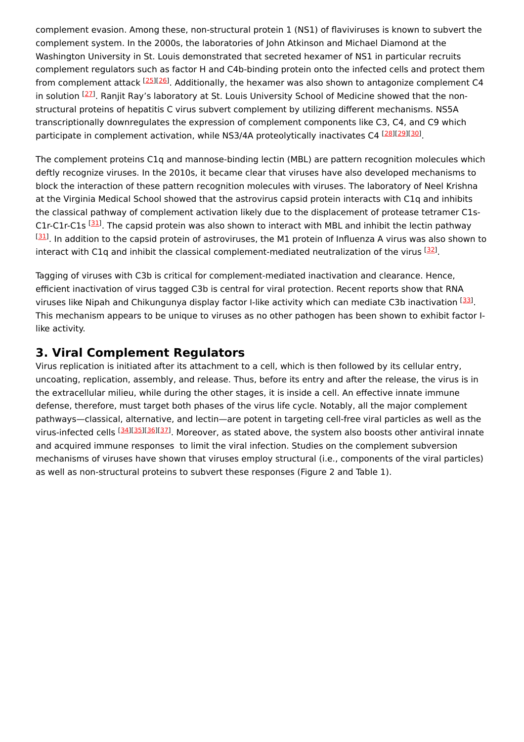complement evasion. Among these, non-structural protein 1 (NS1) of flaviviruses is known to subvert the complement system. In the 2000s, the laboratories of John Atkinson and Michael Diamond at the Washington University in St. Louis demonstrated that secreted hexamer of NS1 in particular recruits complement regulators such as factor H and C4b-binding protein onto the infected cells and protect them from complement attack <sup>[\[25](#page-6-11)][\[26](#page-6-12)]</sup>. Additionally, the hexamer was also shown to antagonize complement C4 in solution <sup>[\[27](#page-6-13)]</sup>. Ranjit Ray's laboratory at St. Louis University School of Medicine showed that the nonstructural proteins of hepatitis C virus subvert complement by utilizing different mechanisms. NS5A transcriptionally downregulates the expression of complement components like C3, C4, and C9 which participate in complement activation, while NS3/4A proteolytically inactivates C4 [\[28\]](#page-6-14)[[29](#page-6-15)][\[30\]](#page-6-16).

The complement proteins C1q and mannose-binding lectin (MBL) are pattern recognition molecules which deftly recognize viruses. In the 2010s, it became clear that viruses have also developed mechanisms to block the interaction of these pattern recognition molecules with viruses. The laboratory of Neel Krishna at the Virginia Medical School showed that the astrovirus capsid protein interacts with C1q and inhibits the classical pathway of complement activation likely due to the displacement of protease tetramer C1s-C1r-C1r-C1s <sup>[[31](#page-6-17)]</sup>. The capsid protein was also shown to interact with MBL and inhibit the lectin pathway [[31](#page-6-17)]. In addition to the capsid protein of astroviruses, the M1 protein of Influenza A virus was also shown to interact with C1q and inhibit the classical complement-mediated neutralization of the virus [\[32\]](#page-6-18).

Tagging of viruses with C3b is critical for complement-mediated inactivation and clearance. Hence, efficient inactivation of virus tagged C3b is central for viral protection. Recent reports show that RNA viruses like Nipah and Chikungunya display factor I-like activity which can mediate C3b inactivation [\[33](#page-6-19)]. This mechanism appears to be unique to viruses as no other pathogen has been shown to exhibit factor Ilike activity.

### **3. Viral Complement Regulators**

Virus replication is initiated after its attachment to a cell, which is then followed by its cellular entry, uncoating, replication, assembly, and release. Thus, before its entry and after the release, the virus is in the extracellular milieu, while during the other stages, it is inside a cell. An effective innate immune defense, therefore, must target both phases of the virus life cycle. Notably, all the major complement pathways—classical, alternative, and lectin—are potent in targeting cell-free viral particles as well as the virus-infected cells [\[34](#page-6-20)][[35](#page-6-21)][\[36](#page-6-22)][[37](#page-6-23)]. Moreover, as stated above, the system also boosts other antiviral innate and acquired immune responses to limit the viral infection. Studies on the complement subversion mechanisms of viruses have shown that viruses employ structural (i.e., components of the viral particles) as well as non-structural proteins to subvert these responses (Figure 2 and Table 1).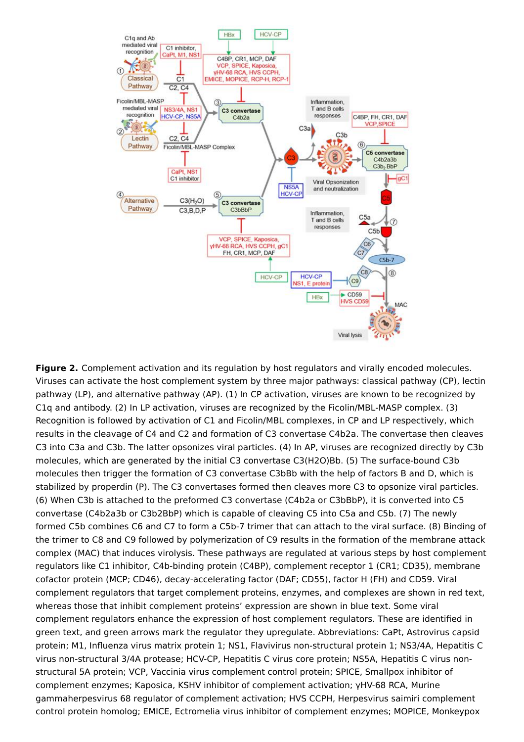

**Figure 2.** Complement activation and its regulation by host regulators and virally encoded molecules. Viruses can activate the host complement system by three major pathways: classical pathway (CP), lectin pathway (LP), and alternative pathway (AP). (1) In CP activation, viruses are known to be recognized by C1q and antibody. (2) In LP activation, viruses are recognized by the Ficolin/MBL-MASP complex. (3) Recognition is followed by activation of C1 and Ficolin/MBL complexes, in CP and LP respectively, which results in the cleavage of C4 and C2 and formation of C3 convertase C4b2a. The convertase then cleaves C3 into C3a and C3b. The latter opsonizes viral particles. (4) In AP, viruses are recognized directly by C3b molecules, which are generated by the initial C3 convertase C3(H2O)Bb. (5) The surface-bound C3b molecules then trigger the formation of C3 convertase C3bBb with the help of factors B and D, which is stabilized by properdin (P). The C3 convertases formed then cleaves more C3 to opsonize viral particles. (6) When C3b is attached to the preformed C3 convertase (C4b2a or C3bBbP), it is converted into C5 convertase (C4b2a3b or C3b2BbP) which is capable of cleaving C5 into C5a and C5b. (7) The newly formed C5b combines C6 and C7 to form a C5b-7 trimer that can attach to the viral surface. (8) Binding of the trimer to C8 and C9 followed by polymerization of C9 results in the formation of the membrane attack complex (MAC) that induces virolysis. These pathways are regulated at various steps by host complement regulators like C1 inhibitor, C4b-binding protein (C4BP), complement receptor 1 (CR1; CD35), membrane cofactor protein (MCP; CD46), decay-accelerating factor (DAF; CD55), factor H (FH) and CD59. Viral complement regulators that target complement proteins, enzymes, and complexes are shown in red text, whereas those that inhibit complement proteins' expression are shown in blue text. Some viral complement regulators enhance the expression of host complement regulators. These are identified in green text, and green arrows mark the regulator they upregulate. Abbreviations: CaPt, Astrovirus capsid protein; M1, Influenza virus matrix protein 1; NS1, Flavivirus non-structural protein 1; NS3/4A, Hepatitis C virus non-structural 3/4A protease; HCV-CP, Hepatitis C virus core protein; NS5A, Hepatitis C virus nonstructural 5A protein; VCP, Vaccinia virus complement control protein; SPICE, Smallpox inhibitor of complement enzymes; Kaposica, KSHV inhibitor of complement activation; γHV-68 RCA, Murine gammaherpesvirus 68 regulator of complement activation; HVS CCPH, Herpesvirus saimiri complement control protein homolog; EMICE, Ectromelia virus inhibitor of complement enzymes; MOPICE, Monkeypox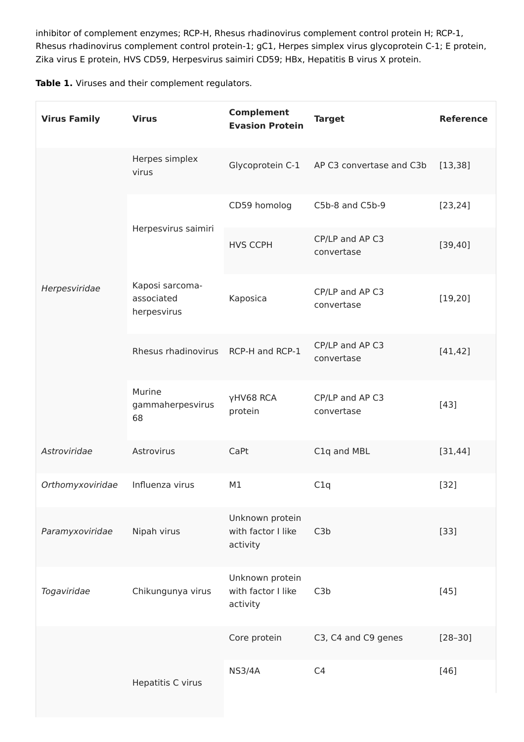inhibitor of complement enzymes; RCP-H, Rhesus rhadinovirus complement control protein H; RCP-1, Rhesus rhadinovirus complement control protein-1; gC1, Herpes simplex virus glycoprotein C-1; E protein, Zika virus E protein, HVS CD59, Herpesvirus saimiri CD59; HBx, Hepatitis B virus X protein.

**Table 1.** Viruses and their complement regulators.

| <b>Virus Family</b> | <b>Virus</b>                                 | <b>Complement</b><br><b>Evasion Protein</b>       | <b>Target</b>                             | <b>Reference</b> |
|---------------------|----------------------------------------------|---------------------------------------------------|-------------------------------------------|------------------|
| Herpesviridae       | Herpes simplex<br>virus                      |                                                   | Glycoprotein C-1 AP C3 convertase and C3b | [13, 38]         |
|                     | Herpesvirus saimiri                          | CD59 homolog                                      | C5b-8 and C5b-9                           | [23, 24]         |
|                     |                                              | <b>HVS CCPH</b>                                   | CP/LP and AP C3<br>convertase             | [39, 40]         |
|                     | Kaposi sarcoma-<br>associated<br>herpesvirus | Kaposica                                          | CP/LP and AP C3<br>convertase             | [19, 20]         |
|                     | Rhesus rhadinovirus                          | RCP-H and RCP-1                                   | CP/LP and AP C3<br>convertase             | [41, 42]         |
|                     | Murine<br>gammaherpesvirus<br>68             | γHV68 RCA<br>protein                              | CP/LP and AP C3<br>convertase             | $[43]$           |
| Astroviridae        | Astrovirus                                   | CaPt                                              | C1q and MBL                               | [31, 44]         |
| Orthomyxoviridae    | Influenza virus                              | M1                                                | C1q                                       | $[32]$           |
| Paramyxoviridae     | Nipah virus                                  | Unknown protein<br>with factor I like<br>activity | C3b                                       | $[33]$           |
| Togaviridae         | Chikungunya virus                            | Unknown protein<br>with factor I like<br>activity | C3b                                       | $[45]$           |
|                     |                                              | Core protein                                      | C3, C4 and C9 genes                       | $[28 - 30]$      |
|                     | Hepatitis C virus                            | <b>NS3/4A</b>                                     | C4                                        | $[46]$           |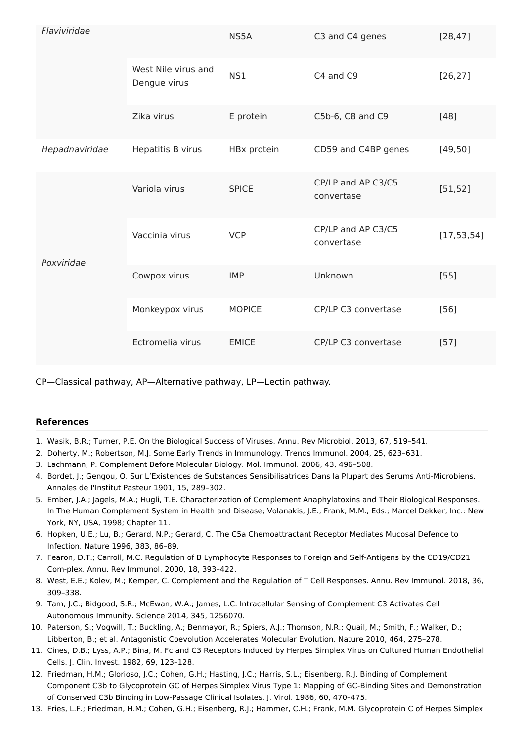| Flaviviridae   |                                     | NS5A          | C3 and C4 genes                  | [28, 47]     |
|----------------|-------------------------------------|---------------|----------------------------------|--------------|
|                | West Nile virus and<br>Dengue virus | NS1           | C4 and C9                        | [26, 27]     |
|                | Zika virus                          | E protein     | C5b-6, C8 and C9                 | $[48]$       |
| Hepadnaviridae | Hepatitis B virus                   | HBx protein   | CD59 and C4BP genes              | [49, 50]     |
| Poxviridae     | Variola virus                       | <b>SPICE</b>  | CP/LP and AP C3/C5<br>convertase | [51, 52]     |
|                | Vaccinia virus                      | <b>VCP</b>    | CP/LP and AP C3/C5<br>convertase | [17, 53, 54] |
|                | Cowpox virus                        | <b>IMP</b>    | Unknown                          | $[55]$       |
|                | Monkeypox virus                     | <b>MOPICE</b> | CP/LP C3 convertase              | $[56]$       |
|                | Ectromelia virus                    | <b>EMICE</b>  | CP/LP C3 convertase              | $[57]$       |

CP—Classical pathway, AP—Alternative pathway, LP—Lectin pathway.

#### **References**

- <span id="page-5-0"></span>1. Wasik, B.R.; Turner, P.E. On the Biological Success of Viruses. Annu. Rev Microbiol. 2013, 67, 519–541.
- <span id="page-5-1"></span>2. Doherty, M.; Robertson, M.J. Some Early Trends in Immunology. Trends Immunol. 2004, 25, 623–631.
- <span id="page-5-2"></span>3. Lachmann, P. Complement Before Molecular Biology. Mol. Immunol. 2006, 43, 496–508.
- <span id="page-5-3"></span>4. Bordet, J.; Gengou, O. Sur L'Existences de Substances Sensibilisatrices Dans la Plupart des Serums Anti-Microbiens. Annales de I'Institut Pasteur 1901, 15, 289–302.
- <span id="page-5-4"></span>5. Ember, J.A.; Jagels, M.A.; Hugli, T.E. Characterization of Complement Anaphylatoxins and Their Biological Responses. In The Human Complement System in Health and Disease; Volanakis, J.E., Frank, M.M., Eds.; Marcel Dekker, Inc.: New York, NY, USA, 1998; Chapter 11.
- <span id="page-5-5"></span>6. Hopken, U.E.; Lu, B.; Gerard, N.P.; Gerard, C. The C5a Chemoattractant Receptor Mediates Mucosal Defence to Infection. Nature 1996, 383, 86–89.
- <span id="page-5-6"></span>7. Fearon, D.T.; Carroll, M.C. Regulation of B Lymphocyte Responses to Foreign and Self-Antigens by the CD19/CD21 Com-plex. Annu. Rev Immunol. 2000, 18, 393–422.
- <span id="page-5-7"></span>8. West, E.E.; Kolev, M.; Kemper, C. Complement and the Regulation of T Cell Responses. Annu. Rev Immunol. 2018, 36, 309–338.
- <span id="page-5-8"></span>9. Tam, J.C.; Bidgood, S.R.; McEwan, W.A.; James, L.C. Intracellular Sensing of Complement C3 Activates Cell Autonomous Immunity. Science 2014, 345, 1256070.
- <span id="page-5-9"></span>10. Paterson, S.; Vogwill, T.; Buckling, A.; Benmayor, R.; Spiers, A.J.; Thomson, N.R.; Quail, M.; Smith, F.; Walker, D.; Libberton, B.; et al. Antagonistic Coevolution Accelerates Molecular Evolution. Nature 2010, 464, 275–278.
- <span id="page-5-10"></span>11. Cines, D.B.; Lyss, A.P.; Bina, M. Fc and C3 Receptors Induced by Herpes Simplex Virus on Cultured Human Endothelial Cells. J. Clin. Invest. 1982, 69, 123–128.
- <span id="page-5-11"></span>12. Friedman, H.M.; Glorioso, J.C.; Cohen, G.H.; Hasting, J.C.; Harris, S.L.; Eisenberg, R.J. Binding of Complement Component C3b to Glycoprotein GC of Herpes Simplex Virus Type 1: Mapping of GC-Binding Sites and Demonstration of Conserved C3b Binding in Low-Passage Clinical Isolates. J. Virol. 1986, 60, 470–475.
- <span id="page-5-12"></span>13. Fries, L.F.; Friedman, H.M.; Cohen, G.H.; Eisenberg, R.J.; Hammer, C.H.; Frank, M.M. Glycoprotein C of Herpes Simplex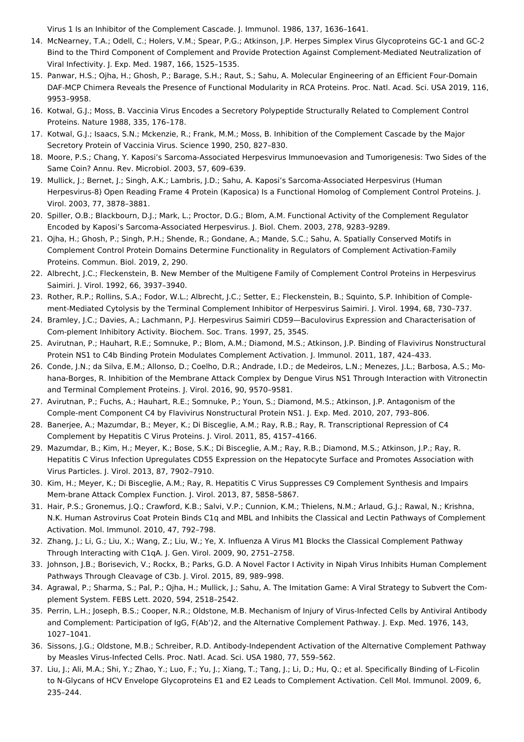<span id="page-6-0"></span>Virus 1 Is an Inhibitor of the Complement Cascade. J. Immunol. 1986, 137, 1636–1641.

- 14. McNearney, T.A.; Odell, C.; Holers, V.M.; Spear, P.G.; Atkinson, J.P. Herpes Simplex Virus Glycoproteins GC-1 and GC-2 Bind to the Third Component of Complement and Provide Protection Against Complement-Mediated Neutralization of Viral Infectivity. J. Exp. Med. 1987, 166, 1525–1535.
- <span id="page-6-1"></span>15. Panwar, H.S.; Ojha, H.; Ghosh, P.; Barage, S.H.; Raut, S.; Sahu, A. Molecular Engineering of an Efficient Four-Domain DAF-MCP Chimera Reveals the Presence of Functional Modularity in RCA Proteins. Proc. Natl. Acad. Sci. USA 2019, 116, 9953–9958.
- <span id="page-6-2"></span>16. Kotwal, G.J.; Moss, B. Vaccinia Virus Encodes a Secretory Polypeptide Structurally Related to Complement Control Proteins. Nature 1988, 335, 176–178.
- <span id="page-6-3"></span>17. Kotwal, G.J.; Isaacs, S.N.; Mckenzie, R.; Frank, M.M.; Moss, B. Inhibition of the Complement Cascade by the Major Secretory Protein of Vaccinia Virus. Science 1990, 250, 827–830.
- <span id="page-6-4"></span>18. Moore, P.S.; Chang, Y. Kaposi's Sarcoma-Associated Herpesvirus Immunoevasion and Tumorigenesis: Two Sides of the Same Coin? Annu. Rev. Microbiol. 2003, 57, 609–639.
- <span id="page-6-5"></span>19. Mullick, J.; Bernet, J.; Singh, A.K.; Lambris, J.D.; Sahu, A. Kaposi's Sarcoma-Associated Herpesvirus (Human Herpesvirus-8) Open Reading Frame 4 Protein (Kaposica) Is a Functional Homolog of Complement Control Proteins. J. Virol. 2003, 77, 3878–3881.
- <span id="page-6-6"></span>20. Spiller, O.B.; Blackbourn, D.J.; Mark, L.; Proctor, D.G.; Blom, A.M. Functional Activity of the Complement Regulator Encoded by Kaposi's Sarcoma-Associated Herpesvirus. J. Biol. Chem. 2003, 278, 9283–9289.
- <span id="page-6-7"></span>21. Ojha, H.; Ghosh, P.; Singh, P.H.; Shende, R.; Gondane, A.; Mande, S.C.; Sahu, A. Spatially Conserved Motifs in Complement Control Protein Domains Determine Functionality in Regulators of Complement Activation-Family Proteins. Commun. Biol. 2019, 2, 290.
- <span id="page-6-8"></span>22. Albrecht, J.C.; Fleckenstein, B. New Member of the Multigene Family of Complement Control Proteins in Herpesvirus Saimiri. J. Virol. 1992, 66, 3937–3940.
- <span id="page-6-9"></span>23. Rother, R.P.; Rollins, S.A.; Fodor, W.L.; Albrecht, J.C.; Setter, E.; Fleckenstein, B.; Squinto, S.P. Inhibition of Complement-Mediated Cytolysis by the Terminal Complement Inhibitor of Herpesvirus Saimiri. J. Virol. 1994, 68, 730–737.
- <span id="page-6-10"></span>24. Bramley, J.C.; Davies, A.; Lachmann, P.J. Herpesvirus Saimiri CD59—Baculovirus Expression and Characterisation of Com-plement Inhibitory Activity. Biochem. Soc. Trans. 1997, 25, 354S.
- <span id="page-6-11"></span>25. Avirutnan, P.; Hauhart, R.E.; Somnuke, P.; Blom, A.M.; Diamond, M.S.; Atkinson, J.P. Binding of Flavivirus Nonstructural Protein NS1 to C4b Binding Protein Modulates Complement Activation. J. Immunol. 2011, 187, 424–433.
- <span id="page-6-12"></span>26. Conde, J.N.; da Silva, E.M.; Allonso, D.; Coelho, D.R.; Andrade, I.D.; de Medeiros, L.N.; Menezes, J.L.; Barbosa, A.S.; Mohana-Borges, R. Inhibition of the Membrane Attack Complex by Dengue Virus NS1 Through Interaction with Vitronectin and Terminal Complement Proteins. J. Virol. 2016, 90, 9570–9581.
- <span id="page-6-13"></span>27. Avirutnan, P.; Fuchs, A.; Hauhart, R.E.; Somnuke, P.; Youn, S.; Diamond, M.S.; Atkinson, J.P. Antagonism of the Comple-ment Component C4 by Flavivirus Nonstructural Protein NS1. J. Exp. Med. 2010, 207, 793–806.
- <span id="page-6-14"></span>28. Banerjee, A.; Mazumdar, B.; Meyer, K.; Di Bisceglie, A.M.; Ray, R.B.; Ray, R. Transcriptional Repression of C4 Complement by Hepatitis C Virus Proteins. J. Virol. 2011, 85, 4157–4166.
- <span id="page-6-15"></span>29. Mazumdar, B.; Kim, H.; Meyer, K.; Bose, S.K.; Di Bisceglie, A.M.; Ray, R.B.; Diamond, M.S.; Atkinson, J.P.; Ray, R. Hepatitis C Virus Infection Upregulates CD55 Expression on the Hepatocyte Surface and Promotes Association with Virus Particles. J. Virol. 2013, 87, 7902–7910.
- <span id="page-6-16"></span>30. Kim, H.; Meyer, K.; Di Bisceglie, A.M.; Ray, R. Hepatitis C Virus Suppresses C9 Complement Synthesis and Impairs Mem-brane Attack Complex Function. J. Virol. 2013, 87, 5858–5867.
- <span id="page-6-17"></span>31. Hair, P.S.; Gronemus, J.Q.; Crawford, K.B.; Salvi, V.P.; Cunnion, K.M.; Thielens, N.M.; Arlaud, G.J.; Rawal, N.; Krishna, N.K. Human Astrovirus Coat Protein Binds C1q and MBL and Inhibits the Classical and Lectin Pathways of Complement Activation. Mol. Immunol. 2010, 47, 792–798.
- <span id="page-6-18"></span>32. Zhang, J.; Li, G.; Liu, X.; Wang, Z.; Liu, W.; Ye, X. Influenza A Virus M1 Blocks the Classical Complement Pathway Through Interacting with C1qA. J. Gen. Virol. 2009, 90, 2751–2758.
- <span id="page-6-19"></span>33. Johnson, J.B.; Borisevich, V.; Rockx, B.; Parks, G.D. A Novel Factor I Activity in Nipah Virus Inhibits Human Complement Pathways Through Cleavage of C3b. J. Virol. 2015, 89, 989–998.
- <span id="page-6-20"></span>34. Agrawal, P.; Sharma, S.; Pal, P.; Ojha, H.; Mullick, J.; Sahu, A. The Imitation Game: A Viral Strategy to Subvert the Complement System. FEBS Lett. 2020, 594, 2518–2542.
- <span id="page-6-21"></span>35. Perrin, L.H.; Joseph, B.S.; Cooper, N.R.; Oldstone, M.B. Mechanism of Injury of Virus-Infected Cells by Antiviral Antibody and Complement: Participation of IgG, F(Ab')2, and the Alternative Complement Pathway. J. Exp. Med. 1976, 143, 1027–1041.
- <span id="page-6-22"></span>36. Sissons, J.G.; Oldstone, M.B.; Schreiber, R.D. Antibody-Independent Activation of the Alternative Complement Pathway by Measles Virus-Infected Cells. Proc. Natl. Acad. Sci. USA 1980, 77, 559–562.
- <span id="page-6-23"></span>37. Liu, J.; Ali, M.A.; Shi, Y.; Zhao, Y.; Luo, F.; Yu, J.; Xiang, T.; Tang, J.; Li, D.; Hu, Q.; et al. Specifically Binding of L-Ficolin to N-Glycans of HCV Envelope Glycoproteins E1 and E2 Leads to Complement Activation. Cell Mol. Immunol. 2009, 6, 235–244.